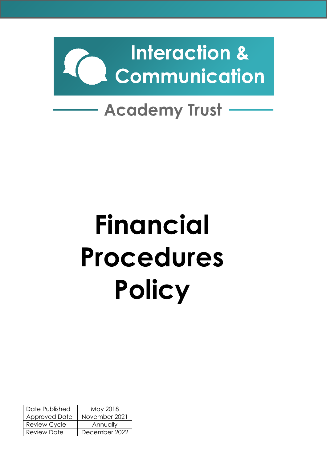

# **Academy Trust**

# **Financial Procedures Policy**

| Date Published       | May 2018      |
|----------------------|---------------|
| <b>Approved Date</b> | November 2021 |
| <b>Review Cycle</b>  | Annually      |
| <b>Review Date</b>   | December 2022 |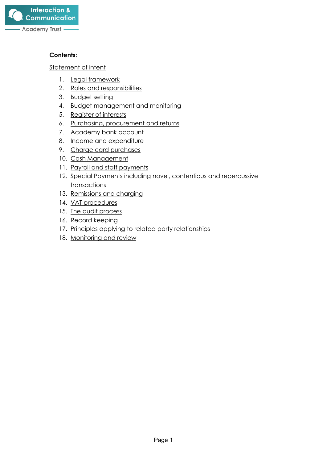

#### **Contents:**

[Statement of intent](#page-2-0)

- 1. [Legal framework](#page-3-0)
- 2. [Roles and responsibilities](#page-3-1)
- 3. [Budget setting](#page-4-0)
- 4. [Budget management and monitoring](#page-5-0)
- 5. [Register of interests](#page-6-0)
- 6. [Purchasing, procurement and returns](#page-6-1)
- 7. Academy bank account
- 8. [Income and expenditure](#page-9-0)
- 9. Charge card purchases
- 10. Cash Management
- 11. [Payroll and staff payments](#page-11-0)
- 12. Special Payments including novel, contentious and repercussive transactions
- 13. [Remissions and charging](#page-16-0)
- 14. [VAT procedures](#page-17-0)
- 15. [The audit process](#page-17-1)
- 16. [Record keeping](#page-19-0)
- 17. Principles applying to related party relationships
- 18. [Monitoring and review](#page-21-0)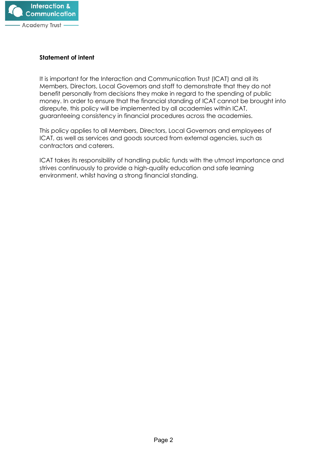

#### <span id="page-2-0"></span>**Statement of intent**

It is important for the Interaction and Communication Trust (ICAT) and all its Members, Directors, Local Governors and staff to demonstrate that they do not benefit personally from decisions they make in regard to the spending of public money. In order to ensure that the financial standing of ICAT cannot be brought into disrepute, this policy will be implemented by all academies within ICAT, guaranteeing consistency in financial procedures across the academies.

This policy applies to all Members, Directors, Local Governors and employees of ICAT, as well as services and goods sourced from external agencies, such as contractors and caterers.

ICAT takes its responsibility of handling public funds with the utmost importance and strives continuously to provide a high-quality education and safe learning environment, whilst having a strong financial standing.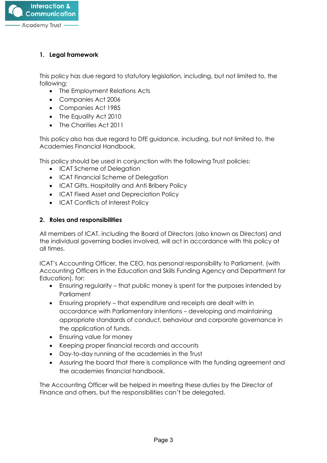

# <span id="page-3-0"></span>**1. Legal framework**

This policy has due regard to statutory legislation, including, but not limited to, the following:

- The Employment Relations Acts
- Companies Act 2006
- Companies Act 1985
- The Equality Act 2010
- The Charities Act 2011

This policy also has due regard to DfE guidance, including, but not limited to, the Academies Financial Handbook.

This policy should be used in conjunction with the following Trust policies:

- ICAT Scheme of Delegation
- ICAT Financial Scheme of Delegation
- ICAT Gifts, Hospitality and Anti Bribery Policy
- ICAT Fixed Asset and Depreciation Policy
- ICAT Conflicts of Interest Policy

## <span id="page-3-1"></span>**2. Roles and responsibilities**

All members of ICAT, including the Board of Directors (also known as Directors) and the individual governing bodies involved, will act in accordance with this policy at all times.

ICAT's Accounting Officer, the CEO, has personal responsibility to Parliament, (with Accounting Officers in the Education and Skills Funding Agency and Department for Education), for:

- Ensuring regularity that public money is spent for the purposes intended by **Parliament**
- Ensuring propriety that expenditure and receipts are dealt with in accordance with Parliamentary intentions – developing and maintaining appropriate standards of conduct, behaviour and corporate governance in the application of funds.
- Ensuring value for money
- Keeping proper financial records and accounts
- Day-to-day running of the academies in the Trust
- Assuring the board that there is compliance with the funding agreement and the academies financial handbook.

The Accounting Officer will be helped in meeting these duties by the Director of Finance and others, but the responsibilities can't be delegated.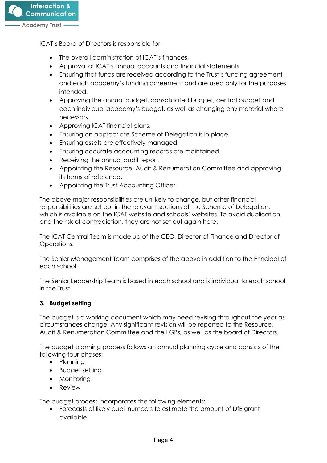

ICAT's Board of Directors is responsible for:

- The overall administration of ICAT's finances.
- Approval of ICAT's annual accounts and financial statements.
- Ensuring that funds are received according to the Trust's funding agreement and each academy's funding agreement and are used only for the purposes intended.
- Approving the annual budget, consolidated budget, central budget and each individual academy's budget, as well as changing any material where necessary.
- Approving ICAT financial plans.
- Ensuring an appropriate Scheme of Delegation is in place.
- Ensuring assets are effectively managed.
- Ensuring accurate accounting records are maintained.
- Receiving the annual audit report.
- Appointing the Resource, Audit & Renumeration Committee and approving its terms of reference.
- Appointing the Trust Accounting Officer.

The above major responsibilities are unlikely to change, but other financial responsibilities are set out in the relevant sections of the Scheme of Delegation, which is available on the ICAT website and schools' websites. To avoid duplication and the risk of contradiction, they are not set out again here.

The ICAT Central Team is made up of the CEO, Director of Finance and Director of Operations.

The Senior Management Team comprises of the above in addition to the Principal of each school.

The Senior Leadership Team is based in each school and is individual to each school in the Trust.

## <span id="page-4-0"></span>**3. Budget setting**

The budget is a working document which may need revising throughout the year as circumstances change. Any significant revision will be reported to the Resource, Audit & Renumeration Committee and the LGBs, as well as the board of Directors.

The budget planning process follows an annual planning cycle and consists of the following four phases:

- Planning
- Budget setting
- Monitoring
- Review

The budget process incorporates the following elements:

• Forecasts of likely pupil numbers to estimate the amount of DfE grant available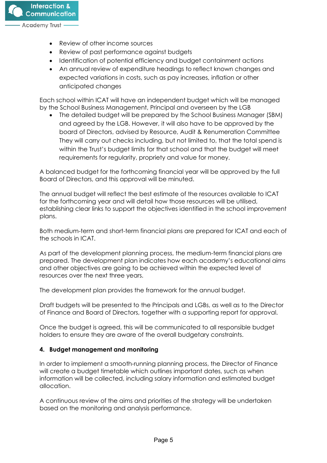

- Review of other income sources
- Review of past performance against budgets
- Identification of potential efficiency and budget containment actions
- An annual review of expenditure headings to reflect known changes and expected variations in costs, such as pay increases, inflation or other anticipated changes

Each school within ICAT will have an independent budget which will be managed by the School Business Management, Principal and overseen by the LGB

• The detailed budget will be prepared by the School Business Manager (SBM) and agreed by the LGB. However, it will also have to be approved by the board of Directors, advised by Resource, Audit & Renumeration Committee They will carry out checks including, but not limited to, that the total spend is within the Trust's budget limits for that school and that the budget will meet requirements for regularity, propriety and value for money.

A balanced budget for the forthcoming financial year will be approved by the full Board of Directors, and this approval will be minuted.

The annual budget will reflect the best estimate of the resources available to ICAT for the forthcoming year and will detail how those resources will be utilised, establishing clear links to support the objectives identified in the school improvement plans.

Both medium-term and short-term financial plans are prepared for ICAT and each of the schools in ICAT.

As part of the development planning process, the medium-term financial plans are prepared. The development plan indicates how each academy's educational aims and other objectives are going to be achieved within the expected level of resources over the next three years.

The development plan provides the framework for the annual budget.

Draft budgets will be presented to the Principals and LGBs, as well as to the Director of Finance and Board of Directors, together with a supporting report for approval.

Once the budget is agreed, this will be communicated to all responsible budget holders to ensure they are aware of the overall budgetary constraints.

#### <span id="page-5-0"></span>**4. Budget management and monitoring**

In order to implement a smooth-running planning process, the Director of Finance will create a budget timetable which outlines important dates, such as when information will be collected, including salary information and estimated budget allocation.

A continuous review of the aims and priorities of the strategy will be undertaken based on the monitoring and analysis performance.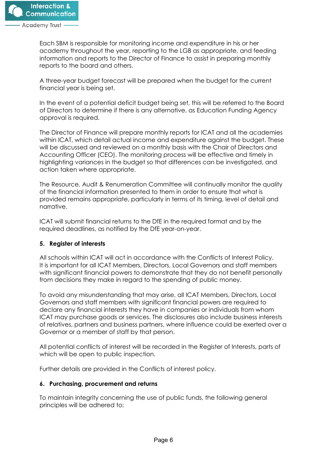

Each SBM is responsible for monitoring income and expenditure in his or her academy throughout the year, reporting to the LGB as appropriate, and feeding information and reports to the Director of Finance to assist in preparing monthly reports to the board and others.

A three-year budget forecast will be prepared when the budget for the current financial year is being set.

In the event of a potential deficit budget being set, this will be referred to the Board of Directors to determine if there is any alternative, as Education Funding Agency approval is required.

The Director of Finance will prepare monthly reports for ICAT and all the academies within ICAT, which detail actual income and expenditure against the budget. These will be discussed and reviewed on a monthly basis with the Chair of Directors and Accounting Officer (CEO). The monitoring process will be effective and timely in highlighting variances in the budget so that differences can be investigated, and action taken where appropriate.

The Resource, Audit & Renumeration Committee will continually monitor the quality of the financial information presented to them in order to ensure that what is provided remains appropriate, particularly in terms of its timing, level of detail and narrative.

ICAT will submit financial returns to the DfE in the required format and by the required deadlines, as notified by the DfE year-on-year.

## <span id="page-6-0"></span>**5. Register of interests**

All schools within ICAT will act in accordance with the Conflicts of Interest Policy. It is important for all ICAT Members, Directors, Local Governors and staff members with significant financial powers to demonstrate that they do not benefit personally from decisions they make in regard to the spending of public money.

To avoid any misunderstanding that may arise, all ICAT Members, Directors, Local Governors and staff members with significant financial powers are required to declare any financial interests they have in companies or individuals from whom ICAT may purchase goods or services. The disclosures also include business interests of relatives, partners and business partners, where influence could be exerted over a Governor or a member of staff by that person.

All potential conflicts of interest will be recorded in the Register of Interests, parts of which will be open to public inspection.

Further details are provided in the Conflicts of interest policy.

#### <span id="page-6-1"></span>**6. Purchasing, procurement and returns**

To maintain integrity concerning the use of public funds, the following general principles will be adhered to: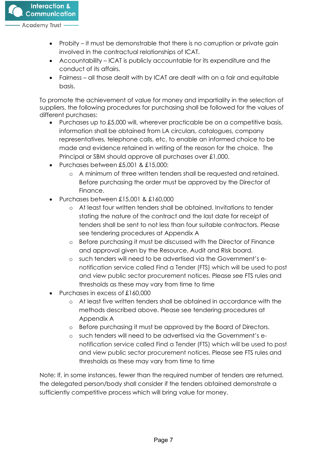- Probity it must be demonstrable that there is no corruption or private gain involved in the contractual relationships of ICAT.
- Accountability ICAT is publicly accountable for its expenditure and the conduct of its affairs.
- Fairness all those dealt with by ICAT are dealt with on a fair and equitable basis.

To promote the achievement of value for money and impartiality in the selection of suppliers, the following procedures for purchasing shall be followed for the values of different purchases:

- Purchases up to £5,000 will, wherever practicable be on a competitive basis, information shall be obtained from LA circulars, catalogues, company representatives, telephone calls, etc. to enable an informed choice to be made and evidence retained in writing of the reason for the choice. The Principal or SBM should approve all purchases over £1,000.
- Purchases between £5,001 & £15,000:
	- o A minimum of three written tenders shall be requested and retained. Before purchasing the order must be approved by the Director of Finance.
- Purchases between £15,001 & £160,000
	- o At least four written tenders shall be obtained. Invitations to tender stating the nature of the contract and the last date for receipt of tenders shall be sent to not less than four suitable contractors. Please see tendering procedures at Appendix A
	- o Before purchasing it must be discussed with the Director of Finance and approval given by the Resource, Audit and Risk board.
	- o such tenders will need to be advertised via the Government's enotification service called Find a Tender (FTS) which will be used to post and view public sector procurement notices. Please see FTS rules and thresholds as these may vary from time to time
- Purchases in excess of £160,000
	- o At least five written tenders shall be obtained in accordance with the methods described above. Please see tendering procedures at Appendix A
	- o Before purchasing it must be approved by the Board of Directors.
	- o such tenders will need to be advertised via the Government's enotification service called Find a Tender (FTS) which will be used to post and view public sector procurement notices. Please see FTS rules and thresholds as these may vary from time to time

Note: If, in some instances, fewer than the required number of tenders are returned, the delegated person/body shall consider if the tenders obtained demonstrate a sufficiently competitive process which will bring value for money.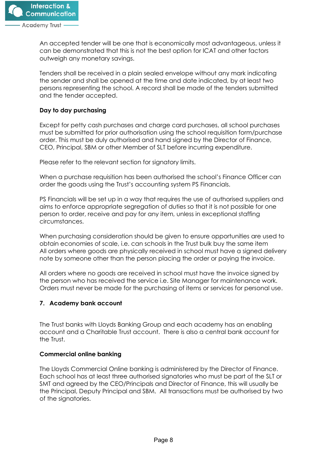

An accepted tender will be one that is economically most advantageous, unless it can be demonstrated that this is not the best option for ICAT and other factors outweigh any monetary savings.

Tenders shall be received in a plain sealed envelope without any mark indicating the sender and shall be opened at the time and date indicated, by at least two persons representing the school. A record shall be made of the tenders submitted and the tender accepted.

# **Day to day purchasing**

Except for petty cash purchases and charge card purchases, all school purchases must be submitted for prior authorisation using the school requisition form/purchase order. This must be duly authorised and hand signed by the Director of Finance, CEO, Principal, SBM or other Member of SLT before incurring expenditure.

Please refer to the relevant section for signatory limits.

When a purchase requisition has been authorised the school's Finance Officer can order the goods using the Trust's accounting system PS Financials.

PS Financials will be set up in a way that requires the use of authorised suppliers and aims to enforce appropriate segregation of duties so that it is not possible for one person to order, receive and pay for any item, unless in exceptional staffing circumstances.

When purchasing consideration should be given to ensure opportunities are used to obtain economies of scale, i.e. can schools in the Trust bulk buy the same item All orders where goods are physically received in school must have a signed delivery note by someone other than the person placing the order or paying the invoice.

All orders where no goods are received in school must have the invoice signed by the person who has received the service i.e. Site Manager for maintenance work. Orders must never be made for the purchasing of items or services for personal use.

## **7. Academy bank account**

The Trust banks with Lloyds Banking Group and each academy has an enabling account and a Charitable Trust account. There is also a central bank account for the Trust.

## **Commercial online banking**

The Lloyds Commercial Online banking is administered by the Director of Finance. Each school has at least three authorised signatories who must be part of the SLT or SMT and agreed by the CEO/Principals and Director of Finance, this will usually be the Principal, Deputy Principal and SBM. All transactions must be authorised by two of the signatories.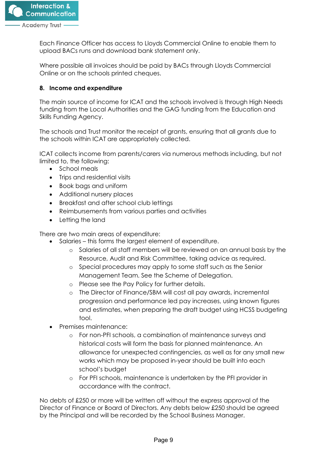

Each Finance Officer has access to Lloyds Commercial Online to enable them to upload BACs runs and download bank statement only.

Where possible all invoices should be paid by BACs through Lloyds Commercial Online or on the schools printed cheques.

## <span id="page-9-0"></span>**8. Income and expenditure**

The main source of income for ICAT and the schools involved is through High Needs funding from the Local Authorities and the GAG funding from the Education and Skills Funding Agency.

The schools and Trust monitor the receipt of grants, ensuring that all grants due to the schools within ICAT are appropriately collected.

ICAT collects income from parents/carers via numerous methods including, but not limited to, the following:

- School meals
- Trips and residential visits
- Book bags and uniform
- Additional nursery places
- Breakfast and after school club lettings
- Reimbursements from various parties and activities
- Letting the land

There are two main areas of expenditure:

- Salaries this forms the largest element of expenditure.
	- o Salaries of all staff members will be reviewed on an annual basis by the Resource, Audit and Risk Committee, taking advice as required.
	- o Special procedures may apply to some staff such as the Senior Management Team. See the Scheme of Delegation.
	- o Please see the Pay Policy for further details.
	- o The Director of Finance/SBM will cost all pay awards, incremental progression and performance led pay increases, using known figures and estimates, when preparing the draft budget using HCSS budgeting tool.
- Premises maintenance:
	- o For non-PFI schools, a combination of maintenance surveys and historical costs will form the basis for planned maintenance. An allowance for unexpected contingencies, as well as for any small new works which may be proposed in-year should be built into each school's budget
	- o For PFI schools, maintenance is undertaken by the PFI provider in accordance with the contract.

No debts of £250 or more will be written off without the express approval of the Director of Finance or Board of Directors. Any debts below £250 should be agreed by the Principal and will be recorded by the School Business Manager.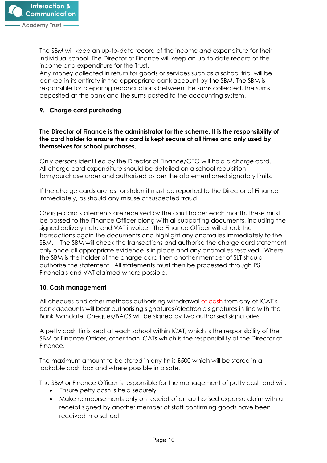The SBM will keep an up-to-date record of the income and expenditure for their individual school. The Director of Finance will keep an up-to-date record of the income and expenditure for the Trust.

Any money collected in return for goods or services such as a school trip, will be banked in its entirety in the appropriate bank account by the SBM. The SBM is responsible for preparing reconciliations between the sums collected, the sums deposited at the bank and the sums posted to the accounting system.

# **9. Charge card purchasing**

#### **The Director of Finance is the administrator for the scheme. It is the responsibility of the card holder to ensure their card is kept secure at all times and only used by themselves for school purchases.**

Only persons identified by the Director of Finance/CEO will hold a charge card. All charge card expenditure should be detailed on a school requisition form/purchase order and authorised as per the aforementioned signatory limits.

If the charge cards are lost or stolen it must be reported to the Director of Finance immediately, as should any misuse or suspected fraud.

Charge card statements are received by the card holder each month, these must be passed to the Finance Officer along with all supporting documents, including the signed delivery note and VAT invoice. The Finance Officer will check the transactions again the documents and highlight any anomalies immediately to the SBM. The SBM will check the transactions and authorise the charge card statement only once all appropriate evidence is in place and any anomalies resolved. Where the SBM is the holder of the charge card then another member of SLT should authorise the statement. All statements must then be processed through PS Financials and VAT claimed where possible.

## **10. Cash management**

All cheques and other methods authorising withdrawal of cash from any of ICAT's bank accounts will bear authorising signatures/electronic signatures in line with the Bank Mandate. Cheques/BACS will be signed by two authorised signatories.

A petty cash tin is kept at each school within ICAT, which is the responsibility of the SBM or Finance Officer, other than ICATs which is the responsibility of the Director of Finance.

The maximum amount to be stored in any tin is £500 which will be stored in a lockable cash box and where possible in a safe.

The SBM or Finance Officer is responsible for the management of petty cash and will:

- Ensure petty cash is held securely.
- Make reimbursements only on receipt of an authorised expense claim with a receipt signed by another member of staff confirming goods have been received into school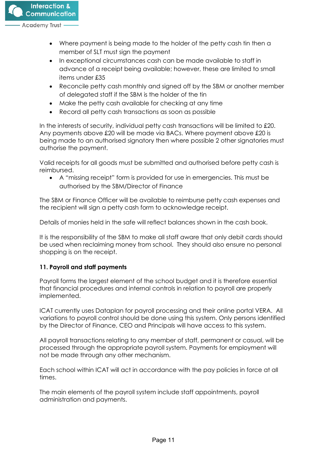

- Where payment is being made to the holder of the petty cash tin then a member of SLT must sign the payment
- In exceptional circumstances cash can be made available to staff in advance of a receipt being available; however, these are limited to small items under £35
- Reconcile petty cash monthly and signed off by the SBM or another member of delegated staff if the SBM is the holder of the tin
- Make the petty cash available for checking at any time
- Record all petty cash transactions as soon as possible

In the interests of security, individual petty cash transactions will be limited to £20. Any payments above £20 will be made via BACs. Where payment above £20 is being made to an authorised signatory then where possible 2 other signatories must authorise the payment.

Valid receipts for all goods must be submitted and authorised before petty cash is reimbursed.

• A "missing receipt" form is provided for use in emergencies. This must be authorised by the SBM/Director of Finance

The SBM or Finance Officer will be available to reimburse petty cash expenses and the recipient will sign a petty cash form to acknowledge receipt.

Details of monies held in the safe will reflect balances shown in the cash book.

It is the responsibility of the SBM to make all staff aware that only debit cards should be used when reclaiming money from school. They should also ensure no personal shopping is on the receipt.

## <span id="page-11-0"></span>**11. Payroll and staff payments**

Payroll forms the largest element of the school budget and it is therefore essential that financial procedures and internal controls in relation to payroll are properly implemented.

ICAT currently uses Dataplan for payroll processing and their online portal VERA. All variations to payroll control should be done using this system. Only persons identified by the Director of Finance, CEO and Principals will have access to this system.

All payroll transactions relating to any member of staff, permanent or casual, will be processed through the appropriate payroll system. Payments for employment will not be made through any other mechanism.

Each school within ICAT will act in accordance with the pay policies in force at all times.

The main elements of the payroll system include staff appointments, payroll administration and payments.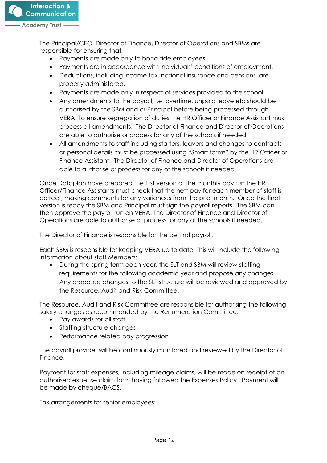

The Principal/CEO, Director of Finance, Director of Operations and SBMs are responsible for ensuring that:

- Payments are made only to bona-fide employees.
- Payments are in accordance with individuals' conditions of employment.
- Deductions, including income tax, national insurance and pensions, are properly administered.
- Payments are made only in respect of services provided to the school.
- Any amendments to the payroll, i.e. overtime, unpaid leave etc should be authorised by the SBM and or Principal before being processed through VERA. To ensure segregation of duties the HR Officer or Finance Assistant must process all amendments. The Director of Finance and Director of Operations are able to authorise or process for any of the schools if needed.
- All amendments to staff including starters, leavers and changes to contracts or personal details must be processed using "Smart forms" by the HR Officer or Finance Assistant. The Director of Finance and Director of Operations are able to authorise or process for any of the schools if needed.

Once Dataplan have prepared the first version of the monthly pay run the HR Officer/Finance Assistants must check that the nett pay for each member of staff is correct, making comments for any variances from the prior month. Once the final version is ready the SBM and Principal must sign the payroll reports. The SBM can then approve the payroll run on VERA. The Director of Finance and Director of Operations are able to authorise or process for any of the schools if needed.

The Director of Finance is responsible for the central payroll.

Each SBM is responsible for keeping VERA up to date. This will include the following information about staff Members:

• During the spring term each year, the SLT and SBM will review staffing requirements for the following academic year and propose any changes. Any proposed changes to the SLT structure will be reviewed and approved by the Resource, Audit and Risk Committee.

The Resource, Audit and Risk Committee are responsible for authorising the following salary changes as recommended by the Renumeration Committee:

- Pay awards for all staff
- Staffing structure changes
- Performance related pay progression

The payroll provider will be continuously monitored and reviewed by the Director of Finance.

Payment for staff expenses, including mileage claims, will be made on receipt of an authorised expense claim form having followed the Expenses Policy. Payment will be made by cheque/BACS.

Tax arrangements for senior employees: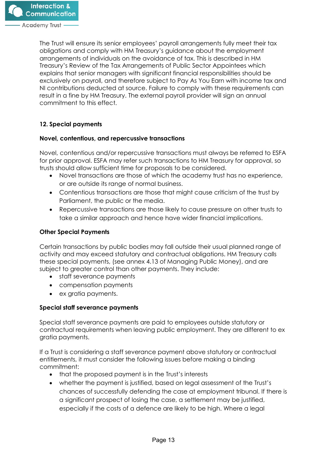The Trust will ensure its senior employees' payroll arrangements fully meet their tax obligations and comply with HM Treasury's guidance about the employment arrangements of individuals on the avoidance of tax. This is described in HM Treasury's Review of the Tax Arrangements of Public Sector Appointees which explains that senior managers with significant financial responsibilities should be exclusively on payroll, and therefore subject to Pay As You Earn with income tax and NI contributions deducted at source. Failure to comply with these requirements can result in a fine by HM Treasury. The external payroll provider will sign an annual commitment to this effect.

# **12. Special payments**

## **Novel, contentious, and repercussive transactions**

Novel, contentious and/or repercussive transactions must always be referred to ESFA for prior approval. ESFA may refer such transactions to HM Treasury for approval, so trusts should allow sufficient time for proposals to be considered.

- Novel transactions are those of which the academy trust has no experience, or are outside its range of normal business.
- Contentious transactions are those that might cause criticism of the trust by Parliament, the public or the media.
- Repercussive transactions are those likely to cause pressure on other trusts to take a similar approach and hence have wider financial implications.

## **Other Special Payments**

Certain transactions by public bodies may fall outside their usual planned range of activity and may exceed statutory and contractual obligations. HM Treasury calls these special payments, (see annex 4.13 of Managing Public Money), and are subject to greater control than other payments. They include:

- staff severance payments
- compensation payments
- ex gratia payments.

## **Special staff severance payments**

Special staff severance payments are paid to employees outside statutory or contractual requirements when leaving public employment. They are different to ex gratia payments.

If a Trust is considering a staff severance payment above statutory or contractual entitlements, it must consider the following issues before making a binding commitment:

- that the proposed payment is in the Trust's interests
- whether the payment is justified, based on legal assessment of the Trust's chances of successfully defending the case at employment tribunal. If there is a significant prospect of losing the case, a settlement may be justified, especially if the costs of a defence are likely to be high. Where a legal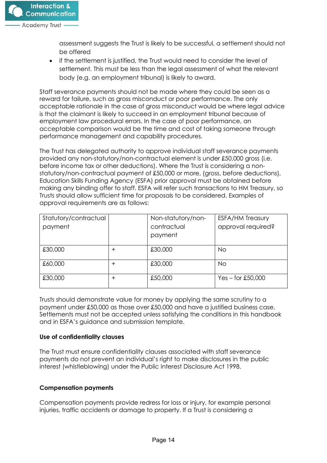

assessment suggests the Trust is likely to be successful, a settlement should not be offered

• if the settlement is justified, the Trust would need to consider the level of settlement. This must be less than the legal assessment of what the relevant body (e.g. an employment tribunal) is likely to award.

Staff severance payments should not be made where they could be seen as a reward for failure, such as gross misconduct or poor performance. The only acceptable rationale in the case of gross misconduct would be where legal advice is that the claimant is likely to succeed in an employment tribunal because of employment law procedural errors. In the case of poor performance, an acceptable comparison would be the time and cost of taking someone through performance management and capability procedures.

The Trust has delegated authority to approve individual staff severance payments provided any non-statutory/non-contractual element is under £50,000 gross (i.e. before income tax or other deductions). Where the Trust is considering a nonstatutory/non-contractual payment of £50,000 or more, (gross, before deductions), Education Skills Funding Agency (ESFA) prior approval must be obtained before making any binding offer to staff. ESFA will refer such transactions to HM Treasury, so Trusts should allow sufficient time for proposals to be considered. Examples of approval requirements are as follows:

| Statutory/contractual<br>payment |          | Non-statutory/non-<br>contractual<br>payment | <b>ESFA/HM Treasury</b><br>approval required? |
|----------------------------------|----------|----------------------------------------------|-----------------------------------------------|
| £30,000                          | $\,{}^+$ | £30,000                                      | <b>No</b>                                     |
| £60,000                          | $\,{}^+$ | £30,000                                      | <b>No</b>                                     |
| £30,000                          | $\,{}^+$ | £50,000                                      | $Yes - for £50,000$                           |

Trusts should demonstrate value for money by applying the same scrutiny to a payment under £50,000 as those over £50,000 and have a justified business case. Settlements must not be accepted unless satisfying the conditions in this handbook and in ESFA's guidance and submission template.

#### **Use of confidentiality clauses**

The Trust must ensure confidentiality clauses associated with staff severance payments do not prevent an individual's right to make disclosures in the public interest (whistleblowing) under the Public Interest Disclosure Act 1998.

## **Compensation payments**

Compensation payments provide redress for loss or injury, for example personal injuries, traffic accidents or damage to property. If a Trust is considering a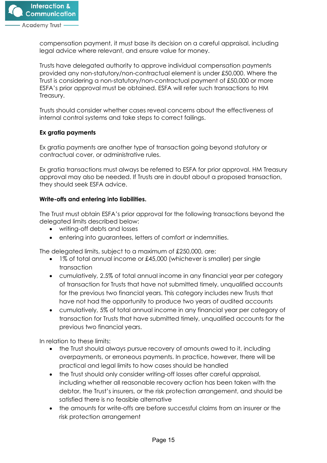

compensation payment, it must base its decision on a careful appraisal, including legal advice where relevant, and ensure value for money.

Trusts have delegated authority to approve individual compensation payments provided any non-statutory/non-contractual element is under £50,000. Where the Trust is considering a non-statutory/non-contractual payment of £50,000 or more ESFA's prior approval must be obtained. ESFA will refer such transactions to HM Treasury.

Trusts should consider whether cases reveal concerns about the effectiveness of internal control systems and take steps to correct failings.

## **Ex gratia payments**

Ex gratia payments are another type of transaction going beyond statutory or contractual cover, or administrative rules.

Ex gratia transactions must always be referred to ESFA for prior approval. HM Treasury approval may also be needed. If Trusts are in doubt about a proposed transaction, they should seek ESFA advice.

#### **Write-offs and entering into liabilities.**

The Trust must obtain ESFA's prior approval for the following transactions beyond the delegated limits described below:

- writing-off debts and losses
- entering into guarantees, letters of comfort or indemnities.

The delegated limits, subject to a maximum of £250,000, are:

- 1% of total annual income or £45,000 (whichever is smaller) per single transaction
- cumulatively, 2.5% of total annual income in any financial year per category of transaction for Trusts that have not submitted timely, unqualified accounts for the previous two financial years. This category includes new Trusts that have not had the opportunity to produce two years of audited accounts
- cumulatively, 5% of total annual income in any financial year per category of transaction for Trusts that have submitted timely, unqualified accounts for the previous two financial years.

In relation to these limits:

- the Trust should always pursue recovery of amounts owed to it, including overpayments, or erroneous payments. In practice, however, there will be practical and legal limits to how cases should be handled
- the Trust should only consider writing-off losses after careful appraisal, including whether all reasonable recovery action has been taken with the debtor, the Trust's insurers, or the risk protection arrangement, and should be satisfied there is no feasible alternative
- the amounts for write-offs are before successful claims from an insurer or the risk protection arrangement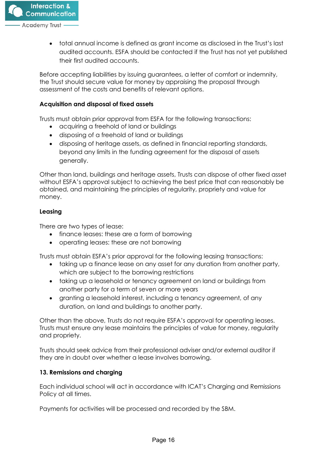

• total annual income is defined as grant income as disclosed in the Trust's last audited accounts. ESFA should be contacted if the Trust has not yet published their first audited accounts.

Before accepting liabilities by issuing guarantees, a letter of comfort or indemnity, the Trust should secure value for money by appraising the proposal through assessment of the costs and benefits of relevant options.

#### **Acquisition and disposal of fixed assets**

Trusts must obtain prior approval from ESFA for the following transactions:

- acquiring a freehold of land or buildings
- disposing of a freehold of land or buildings
- disposing of heritage assets, as defined in financial reporting standards, beyond any limits in the funding agreement for the disposal of assets generally.

Other than land, buildings and heritage assets, Trusts can dispose of other fixed asset without ESFA's approval subject to achieving the best price that can reasonably be obtained, and maintaining the principles of regularity, propriety and value for money.

#### **Leasing**

There are two types of lease:

- finance leases: these are a form of borrowing
- operating leases: these are not borrowing

Trusts must obtain ESFA's prior approval for the following leasing transactions:

- taking up a finance lease on any asset for any duration from another party, which are subject to the borrowing restrictions
- taking up a leasehold or tenancy agreement on land or buildings from another party for a term of seven or more years
- granting a leasehold interest, including a tenancy agreement, of any duration, on land and buildings to another party.

Other than the above, Trusts do not require ESFA's approval for operating leases. Trusts must ensure any lease maintains the principles of value for money, regularity and propriety.

Trusts should seek advice from their professional adviser and/or external auditor if they are in doubt over whether a lease involves borrowing.

## <span id="page-16-0"></span>**13. Remissions and charging**

Each individual school will act in accordance with ICAT's Charging and Remissions Policy at all times.

Payments for activities will be processed and recorded by the SBM.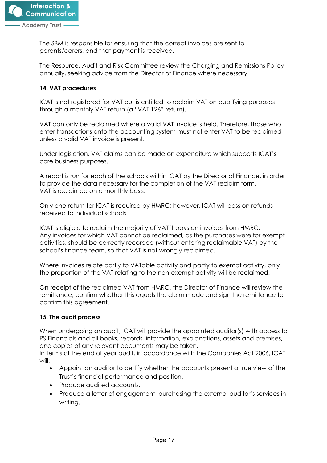

The SBM is responsible for ensuring that the correct invoices are sent to parents/carers, and that payment is received.

The Resource, Audit and Risk Committee review the Charging and Remissions Policy annually, seeking advice from the Director of Finance where necessary.

# <span id="page-17-0"></span>**14. VAT procedures**

ICAT is not registered for VAT but is entitled to reclaim VAT on qualifying purposes through a monthly VAT return (a "VAT 126" return).

VAT can only be reclaimed where a valid VAT invoice is held. Therefore, those who enter transactions onto the accounting system must not enter VAT to be reclaimed unless a valid VAT invoice is present.

Under legislation, VAT claims can be made on expenditure which supports ICAT's core business purposes.

A report is run for each of the schools within ICAT by the Director of Finance, in order to provide the data necessary for the completion of the VAT reclaim form. VAT is reclaimed on a monthly basis.

Only one return for ICAT is required by HMRC; however, ICAT will pass on refunds received to individual schools.

ICAT is eligible to reclaim the majority of VAT it pays on invoices from HMRC. Any invoices for which VAT cannot be reclaimed, as the purchases were for exempt activities, should be correctly recorded (without entering reclaimable VAT) by the school's finance team, so that VAT is not wrongly reclaimed.

Where invoices relate partly to VATable activity and partly to exempt activity, only the proportion of the VAT relating to the non-exempt activity will be reclaimed.

On receipt of the reclaimed VAT from HMRC, the Director of Finance will review the remittance, confirm whether this equals the claim made and sign the remittance to confirm this agreement.

## <span id="page-17-1"></span>**15. The audit process**

When undergoing an audit, ICAT will provide the appointed auditor(s) with access to PS Financials and all books, records, information, explanations, assets and premises, and copies of any relevant documents may be taken.

In terms of the end of year audit, in accordance with the Companies Act 2006, ICAT will:

- Appoint an auditor to certify whether the accounts present a true view of the Trust's financial performance and position.
- Produce audited accounts.
- Produce a letter of engagement, purchasing the external auditor's services in writing.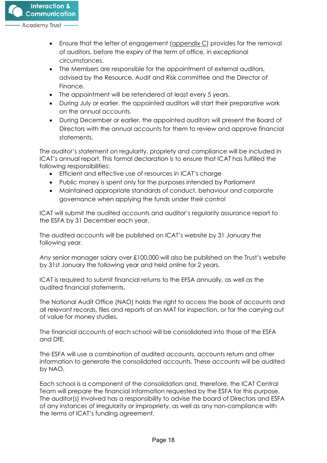

- Ensure that the letter of engagement (appendix C) provides for the removal of auditors, before the expiry of the term of office, in exceptional circumstances.
- The Members are responsible for the appointment of external auditors, advised by the Resource, Audit and Risk committee and the Director of Finance.
- The appointment will be retendered at least every 5 years.
- During July or earlier, the appointed auditors will start their preparative work on the annual accounts.
- During December or earlier, the appointed auditors will present the Board of Directors with the annual accounts for them to review and approve financial statements.

The auditor's statement on regularity, propriety and compliance will be included in ICAT's annual report. This formal declaration is to ensure that ICAT has fulfilled the following responsibilities:

- Efficient and effective use of resources in ICAT's charge
- Public money is spent only for the purposes intended by Parliament
- Maintained appropriate standards of conduct, behaviour and corporate governance when applying the funds under their control

ICAT will submit the audited accounts and auditor's regularity assurance report to the ESFA by 31 December each year.

The audited accounts will be published on ICAT's website by 31 January the following year.

Any senior manager salary over £100,000 will also be published on the Trust's website by 31st January the following year and held online for 2 years.

ICAT is required to submit financial returns to the EFSA annually, as well as the audited financial statements.

The National Audit Office (NAO) holds the right to access the book of accounts and all relevant records, files and reports of an MAT for inspection, or for the carrying out of value for money studies.

The financial accounts of each school will be consolidated into those of the ESFA and DfE.

The ESFA will use a combination of audited accounts, accounts return and other information to generate the consolidated accounts. These accounts will be audited by NAO.

Each school is a component of the consolidation and, therefore, the ICAT Central Team will prepare the financial information requested by the ESFA for this purpose. The auditor(s) involved has a responsibility to advise the board of Directors and ESFA of any instances of irregularity or impropriety, as well as any non-compliance with the terms of ICAT's funding agreement.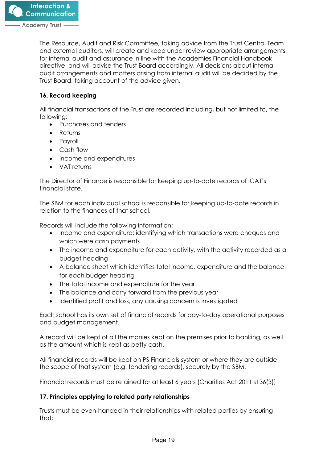

The Resource, Audit and Risk Committee, taking advice from the Trust Central Team and external auditors, will create and keep under review appropriate arrangements for internal audit and assurance in line with the Academies Financial Handbook directive, and will advise the Trust Board accordingly. All decisions about internal audit arrangements and matters arising from internal audit will be decided by the Trust Board, taking account of the advice given.

# <span id="page-19-0"></span>**16. Record keeping**

All financial transactions of the Trust are recorded including, but not limited to, the following:

- Purchases and tenders
- Returns
- Payroll
- Cash flow
- Income and expenditures
- VAT returns

The Director of Finance is responsible for keeping up-to-date records of ICAT's financial state.

The SBM for each individual school is responsible for keeping up-to-date records in relation to the finances of that school.

Records will include the following information:

- Income and expenditure; identifying which transactions were cheques and which were cash payments
- The income and expenditure for each activity, with the activity recorded as a budget heading
- A balance sheet which identifies total income, expenditure and the balance for each budget heading
- The total income and expenditure for the year
- The balance and carry forward from the previous year
- Identified profit and loss, any causing concern is investigated

Each school has its own set of financial records for day-to-day operational purposes and budget management.

A record will be kept of all the monies kept on the premises prior to banking, as well as the amount which is kept as petty cash.

All financial records will be kept on PS Financials system or where they are outside the scope of that system (e.g. tendering records), securely by the SBM.

Financial records must be retained for at least 6 years (Charities Act 2011 s136(3))

## **17. Principles applying to related party relationships**

Trusts must be even-handed in their relationships with related parties by ensuring that: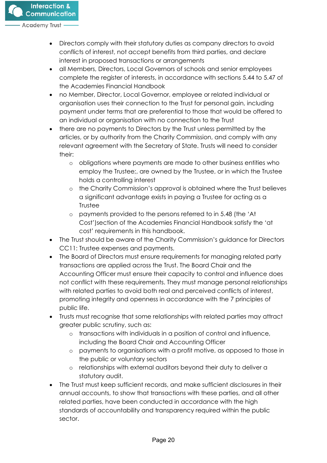

- Directors comply with their statutory duties as company directors to avoid conflicts of interest, not accept benefits from third parties, and declare interest in proposed transactions or arrangements
- all Members, Directors, Local Governors of schools and senior employees complete the register of interests, in accordance with sections 5.44 to 5.47 of the Academies Financial Handbook
- no Member, Director, Local Governor, employee or related individual or organisation uses their connection to the Trust for personal gain, including payment under terms that are preferential to those that would be offered to an individual or organisation with no connection to the Trust
- there are no payments to Directors by the Trust unless permitted by the articles, or by authority from the Charity Commission, and comply with any relevant agreement with the Secretary of State. Trusts will need to consider their:
	- o obligations where payments are made to other business entities who employ the Trustee;, are owned by the Trustee, or in which the Trustee holds a controlling interest
	- o the Charity Commission's approval is obtained where the Trust believes a significant advantage exists in paying a Trustee for acting as a **Trustee**
	- o payments provided to the persons referred to in 5.48 (the 'At Cost')section of the Academies Financial Handbook satisfy the 'at cost' requirements in this handbook.
- The Trust should be aware of the Charity Commission's guidance for Directors CC11: Trustee expenses and payments.
- The Board of Directors must ensure requirements for managing related party transactions are applied across the Trust. The Board Chair and the Accounting Officer must ensure their capacity to control and influence does not conflict with these requirements. They must manage personal relationships with related parties to avoid both real and perceived conflicts of interest, promoting integrity and openness in accordance with the 7 principles of public life.
- Trusts must recognise that some relationships with related parties may attract greater public scrutiny, such as:
	- o transactions with individuals in a position of control and influence, including the Board Chair and Accounting Officer
	- o payments to organisations with a profit motive, as opposed to those in the public or voluntary sectors
	- o relationships with external auditors beyond their duty to deliver a statutory audit.
- The Trust must keep sufficient records, and make sufficient disclosures in their annual accounts, to show that transactions with these parties, and all other related parties, have been conducted in accordance with the high standards of accountability and transparency required within the public sector.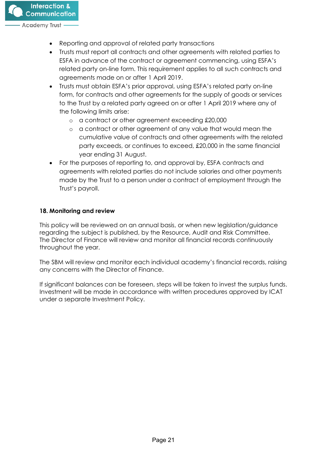

- Reporting and approval of related party transactions
- Trusts must report all contracts and other agreements with related parties to ESFA in advance of the contract or agreement commencing, using ESFA's related party on-line form. This requirement applies to all such contracts and agreements made on or after 1 April 2019.
- Trusts must obtain ESFA's prior approval, using ESFA's related party on-line form, for contracts and other agreements for the supply of goods or services to the Trust by a related party agreed on or after 1 April 2019 where any of the following limits arise:
	- o a contract or other agreement exceeding £20,000
	- o a contract or other agreement of any value that would mean the cumulative value of contracts and other agreements with the related party exceeds, or continues to exceed, £20,000 in the same financial year ending 31 August.
- For the purposes of reporting to, and approval by, ESFA contracts and agreements with related parties do not include salaries and other payments made by the Trust to a person under a contract of employment through the Trust's payroll.

## <span id="page-21-0"></span>**18. Monitoring and review**

This policy will be reviewed on an annual basis, or when new legislation/guidance regarding the subject is published, by the Resource, Audit and Risk Committee. The Director of Finance will review and monitor all financial records continuously throughout the year.

The SBM will review and monitor each individual academy's financial records, raising any concerns with the Director of Finance.

If significant balances can be foreseen, steps will be taken to invest the surplus funds. Investment will be made in accordance with written procedures approved by ICAT under a separate Investment Policy.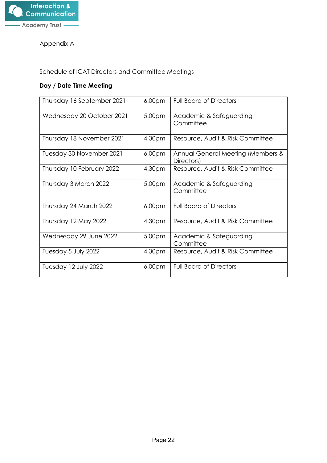

Appendix A

Schedule of ICAT Directors and Committee Meetings

# **Day / Date Time Meeting**

| Thursday 16 September 2021 | 6.00 <sub>pm</sub> | <b>Full Board of Directors</b>                  |
|----------------------------|--------------------|-------------------------------------------------|
| Wednesday 20 October 2021  | 5.00pm             | Academic & Safeguarding<br>Committee            |
| Thursday 18 November 2021  | 4.30pm             | Resource, Audit & Risk Committee                |
| Tuesday 30 November 2021   | 6.00 <sub>pm</sub> | Annual General Meeting (Members &<br>Directors) |
| Thursday 10 February 2022  | 4.30pm             | Resource, Audit & Risk Committee                |
| Thursday 3 March 2022      | 5.00pm             | Academic & Safeguarding<br>Committee            |
| Thursday 24 March 2022     | 6.00 <sub>pm</sub> | <b>Full Board of Directors</b>                  |
| Thursday 12 May 2022       | 4.30pm             | Resource, Audit & Risk Committee                |
| Wednesday 29 June 2022     | 5.00pm             | Academic & Safeguarding<br>Committee            |
| Tuesday 5 July 2022        | 4.30pm             | Resource, Audit & Risk Committee                |
| Tuesday 12 July 2022       | 6.00 <sub>pm</sub> | <b>Full Board of Directors</b>                  |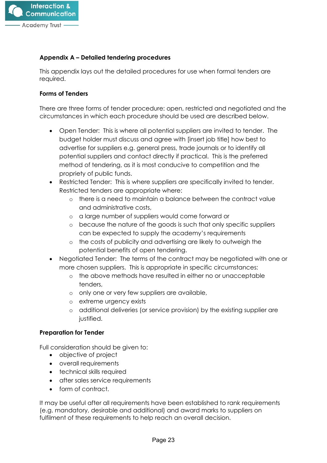

#### **Appendix A – Detailed tendering procedures**

This appendix lays out the detailed procedures for use when formal tenders are required.

#### **Forms of Tenders**

There are three forms of tender procedure: open, restricted and negotiated and the circumstances in which each procedure should be used are described below.

- Open Tender: This is where all potential suppliers are invited to tender. The budget holder must discuss and agree with [insert job title] how best to advertise for suppliers e.g. general press, trade journals or to identify all potential suppliers and contact directly if practical. This is the preferred method of tendering, as it is most conducive to competition and the propriety of public funds.
- Restricted Tender: This is where suppliers are specifically invited to tender. Restricted tenders are appropriate where:
	- o there is a need to maintain a balance between the contract value and administrative costs,
	- o a large number of suppliers would come forward or
	- o because the nature of the goods is such that only specific suppliers can be expected to supply the academy's requirements
	- o the costs of publicity and advertising are likely to outweigh the potential benefits of open tendering.
- Negotiated Tender: The terms of the contract may be negotiated with one or more chosen suppliers. This is appropriate in specific circumstances:
	- o the above methods have resulted in either no or unacceptable tenders,
	- o only one or very few suppliers are available,
	- o extreme urgency exists
	- o additional deliveries (or service provision) by the existing supplier are justified.

#### **Preparation for Tender**

Full consideration should be given to:

- objective of project
- overall requirements
- technical skills required
- after sales service requirements
- form of contract.

It may be useful after all requirements have been established to rank requirements (e.g. mandatory, desirable and additional) and award marks to suppliers on fulfilment of these requirements to help reach an overall decision.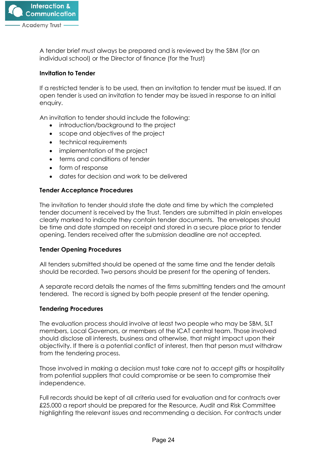

A tender brief must always be prepared and is reviewed by the SBM (for an individual school) or the Director of finance (for the Trust)

#### **Invitation to Tender**

If a restricted tender is to be used, then an invitation to tender must be issued. If an open tender is used an invitation to tender may be issued in response to an initial enquiry.

An invitation to tender should include the following:

- introduction/background to the project
- scope and objectives of the project
- technical requirements
- implementation of the project
- terms and conditions of tender
- form of response
- dates for decision and work to be delivered

#### **Tender Acceptance Procedures**

The invitation to tender should state the date and time by which the completed tender document is received by the Trust. Tenders are submitted in plain envelopes clearly marked to indicate they contain tender documents. The envelopes should be time and date stamped on receipt and stored in a secure place prior to tender opening. Tenders received after the submission deadline are not accepted.

#### **Tender Opening Procedures**

All tenders submitted should be opened at the same time and the tender details should be recorded. Two persons should be present for the opening of tenders.

A separate record details the names of the firms submitting tenders and the amount tendered. The record is signed by both people present at the tender opening.

#### **Tendering Procedures**

The evaluation process should involve at least two people who may be SBM, SLT members, Local Governors, or members of the ICAT central team. Those involved should disclose all interests, business and otherwise, that might impact upon their objectivity. If there is a potential conflict of interest, then that person must withdraw from the tendering process.

Those involved in making a decision must take care not to accept gifts or hospitality from potential suppliers that could compromise or be seen to compromise their independence.

Full records should be kept of all criteria used for evaluation and for contracts over £25,000 a report should be prepared for the Resource, Audit and Risk Committee highlighting the relevant issues and recommending a decision. For contracts under